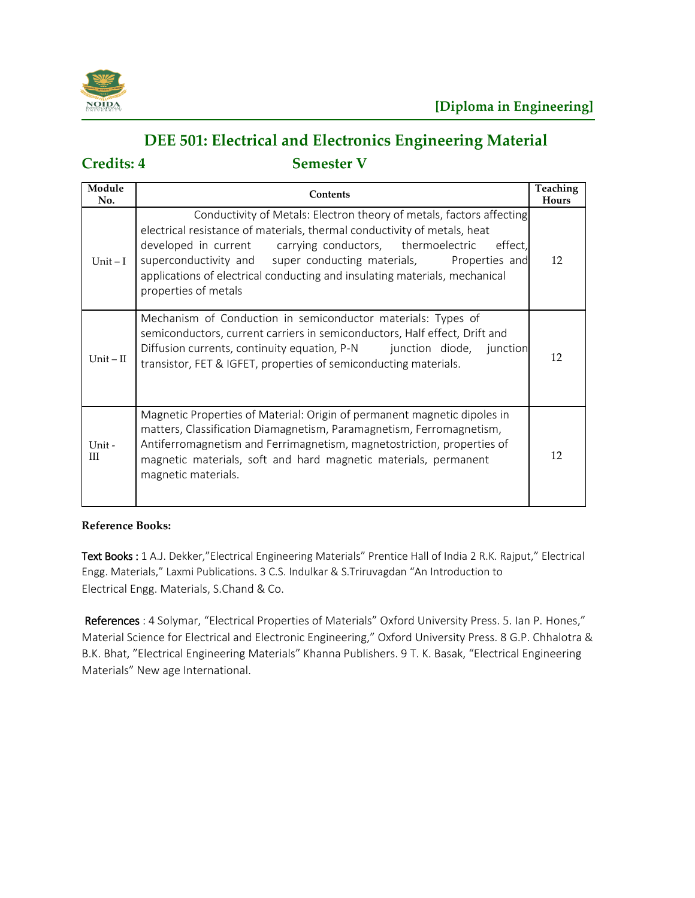

## **DEE 501: Electrical and Electronics Engineering Material**

**Credits: 4 Semester V**

| Module<br>No. | Contents                                                                                                                                                                                                                                                                                                                                                                                          | <b>Teaching</b><br><b>Hours</b> |
|---------------|---------------------------------------------------------------------------------------------------------------------------------------------------------------------------------------------------------------------------------------------------------------------------------------------------------------------------------------------------------------------------------------------------|---------------------------------|
| Unit $-I$     | Conductivity of Metals: Electron theory of metals, factors affecting<br>electrical resistance of materials, thermal conductivity of metals, heat<br>developed in current carrying conductors, thermoelectric<br>effect.<br>superconductivity and super conducting materials, Properties and<br>applications of electrical conducting and insulating materials, mechanical<br>properties of metals | 12                              |
| $Unit - II$   | Mechanism of Conduction in semiconductor materials: Types of<br>semiconductors, current carriers in semiconductors, Half effect, Drift and<br>Diffusion currents, continuity equation, P-N junction diode,<br>junction<br>transistor, FET & IGFET, properties of semiconducting materials.                                                                                                        | 12                              |
| Unit -<br>Ш   | Magnetic Properties of Material: Origin of permanent magnetic dipoles in<br>matters, Classification Diamagnetism, Paramagnetism, Ferromagnetism,<br>Antiferromagnetism and Ferrimagnetism, magnetostriction, properties of<br>magnetic materials, soft and hard magnetic materials, permanent<br>magnetic materials.                                                                              | 12                              |

### **Reference Books:**

Text Books : 1 A.J. Dekker,"Electrical Engineering Materials" Prentice Hall of India 2 R.K. Rajput," Electrical Engg. Materials," Laxmi Publications. 3 C.S. Indulkar & S.Triruvagdan "An Introduction to Electrical Engg. Materials, S.Chand & Co.

References : 4 Solymar, "Electrical Properties of Materials" Oxford University Press. 5. Ian P. Hones," Material Science for Electrical and Electronic Engineering," Oxford University Press. 8 G.P. Chhalotra & B.K. Bhat, "Electrical Engineering Materials" Khanna Publishers. 9 T. K. Basak, "Electrical Engineering Materials" New age International.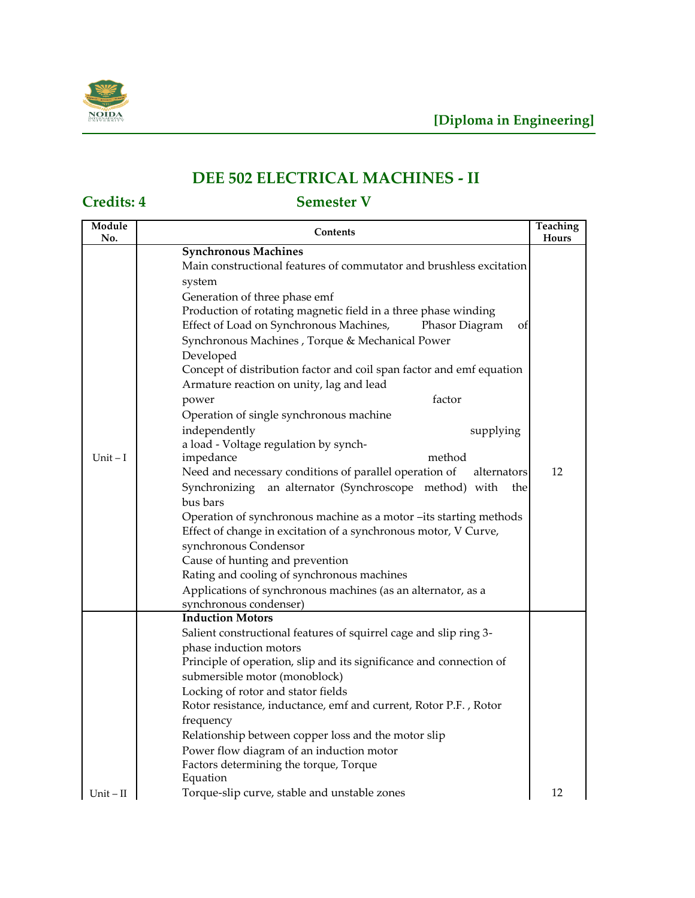

# **DEE 502 ELECTRICAL MACHINES - II**

| Module<br>No. | Contents                                                              | Teaching<br>Hours |
|---------------|-----------------------------------------------------------------------|-------------------|
|               | <b>Synchronous Machines</b>                                           |                   |
|               | Main constructional features of commutator and brushless excitation   |                   |
|               | system                                                                |                   |
|               | Generation of three phase emf                                         |                   |
|               | Production of rotating magnetic field in a three phase winding        |                   |
|               | Effect of Load on Synchronous Machines,<br>Phasor Diagram<br>ΟÌ       |                   |
|               | Synchronous Machines, Torque & Mechanical Power                       |                   |
|               | Developed                                                             |                   |
|               | Concept of distribution factor and coil span factor and emf equation  |                   |
|               | Armature reaction on unity, lag and lead                              |                   |
|               | factor<br>power                                                       |                   |
|               | Operation of single synchronous machine                               |                   |
|               | independently<br>supplying                                            |                   |
|               | a load - Voltage regulation by synch-                                 |                   |
| $Unit - I$    | method<br>impedance                                                   |                   |
|               | Need and necessary conditions of parallel operation of<br>alternators | 12                |
|               | an alternator (Synchroscope method) with<br>Synchronizing<br>the      |                   |
|               | bus bars                                                              |                   |
|               | Operation of synchronous machine as a motor -its starting methods     |                   |
|               | Effect of change in excitation of a synchronous motor, V Curve,       |                   |
|               | synchronous Condensor                                                 |                   |
|               | Cause of hunting and prevention                                       |                   |
|               | Rating and cooling of synchronous machines                            |                   |
|               | Applications of synchronous machines (as an alternator, as a          |                   |
|               | synchronous condenser)                                                |                   |
|               | <b>Induction Motors</b>                                               |                   |
|               | Salient constructional features of squirrel cage and slip ring 3-     |                   |
|               | phase induction motors                                                |                   |
|               | Principle of operation, slip and its significance and connection of   |                   |
|               | submersible motor (monoblock)                                         |                   |
|               | Locking of rotor and stator fields                                    |                   |
|               | Rotor resistance, inductance, emf and current, Rotor P.F., Rotor      |                   |
|               | frequency                                                             |                   |
|               | Relationship between copper loss and the motor slip                   |                   |
|               | Power flow diagram of an induction motor                              |                   |
|               | Factors determining the torque, Torque                                |                   |
|               | Equation                                                              |                   |
| $Unit - II$   | Torque-slip curve, stable and unstable zones                          | 12                |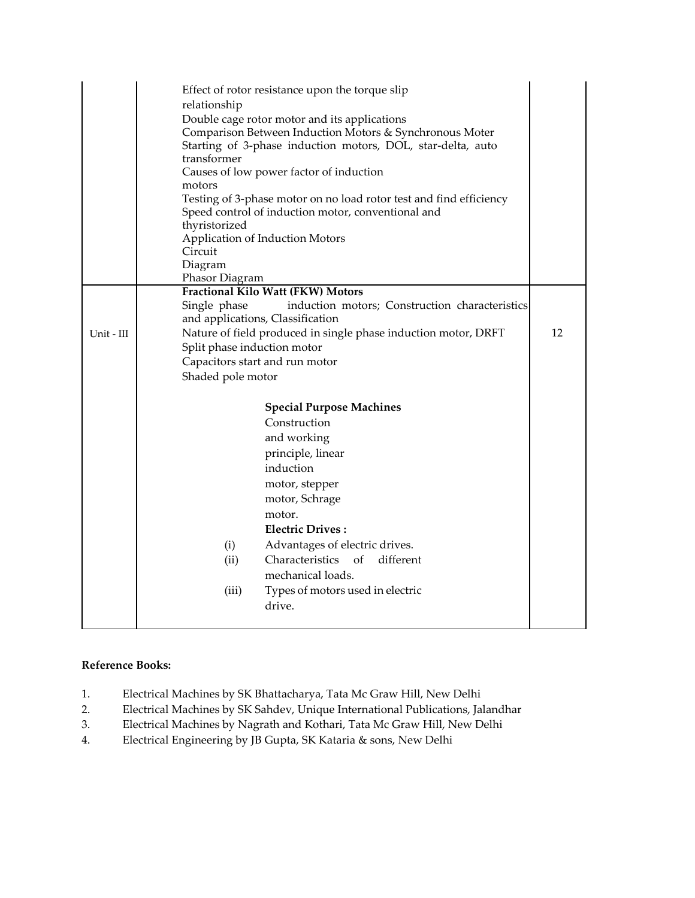|            | Effect of rotor resistance upon the torque slip<br>relationship<br>Double cage rotor motor and its applications<br>Comparison Between Induction Motors & Synchronous Moter<br>Starting of 3-phase induction motors, DOL, star-delta, auto<br>transformer<br>Causes of low power factor of induction<br>motors<br>Testing of 3-phase motor on no load rotor test and find efficiency<br>Speed control of induction motor, conventional and<br>thyristorized<br>Application of Induction Motors<br>Circuit<br>Diagram<br>Phasor Diagram |    |
|------------|---------------------------------------------------------------------------------------------------------------------------------------------------------------------------------------------------------------------------------------------------------------------------------------------------------------------------------------------------------------------------------------------------------------------------------------------------------------------------------------------------------------------------------------|----|
|            | Fractional Kilo Watt (FKW) Motors                                                                                                                                                                                                                                                                                                                                                                                                                                                                                                     |    |
|            | Single phase<br>induction motors; Construction characteristics<br>and applications, Classification                                                                                                                                                                                                                                                                                                                                                                                                                                    |    |
| Unit - III | Nature of field produced in single phase induction motor, DRFT                                                                                                                                                                                                                                                                                                                                                                                                                                                                        | 12 |
|            | Split phase induction motor                                                                                                                                                                                                                                                                                                                                                                                                                                                                                                           |    |
|            | Capacitors start and run motor                                                                                                                                                                                                                                                                                                                                                                                                                                                                                                        |    |
|            | Shaded pole motor                                                                                                                                                                                                                                                                                                                                                                                                                                                                                                                     |    |
|            | <b>Special Purpose Machines</b>                                                                                                                                                                                                                                                                                                                                                                                                                                                                                                       |    |
|            | Construction                                                                                                                                                                                                                                                                                                                                                                                                                                                                                                                          |    |
|            | and working                                                                                                                                                                                                                                                                                                                                                                                                                                                                                                                           |    |
|            | principle, linear                                                                                                                                                                                                                                                                                                                                                                                                                                                                                                                     |    |
|            | induction                                                                                                                                                                                                                                                                                                                                                                                                                                                                                                                             |    |
|            | motor, stepper                                                                                                                                                                                                                                                                                                                                                                                                                                                                                                                        |    |
|            | motor, Schrage                                                                                                                                                                                                                                                                                                                                                                                                                                                                                                                        |    |
|            | motor.                                                                                                                                                                                                                                                                                                                                                                                                                                                                                                                                |    |
|            | <b>Electric Drives:</b>                                                                                                                                                                                                                                                                                                                                                                                                                                                                                                               |    |
|            | Advantages of electric drives.<br>(i)                                                                                                                                                                                                                                                                                                                                                                                                                                                                                                 |    |
|            | Characteristics<br>of<br>different<br>(ii)                                                                                                                                                                                                                                                                                                                                                                                                                                                                                            |    |
|            | mechanical loads.                                                                                                                                                                                                                                                                                                                                                                                                                                                                                                                     |    |
|            | (iii)<br>Types of motors used in electric                                                                                                                                                                                                                                                                                                                                                                                                                                                                                             |    |
|            | drive.                                                                                                                                                                                                                                                                                                                                                                                                                                                                                                                                |    |
|            |                                                                                                                                                                                                                                                                                                                                                                                                                                                                                                                                       |    |

### **Reference Books:**

- 1. Electrical Machines by SK Bhattacharya, Tata Mc Graw Hill, New Delhi
- 2. Electrical Machines by SK Sahdev, Unique International Publications, Jalandhar<br>3. Electrical Machines by Nagrath and Kothari, Tata Mc Graw Hill, New Delhi
- Electrical Machines by Nagrath and Kothari, Tata Mc Graw Hill, New Delhi
- 4. Electrical Engineering by JB Gupta, SK Kataria & sons, New Delhi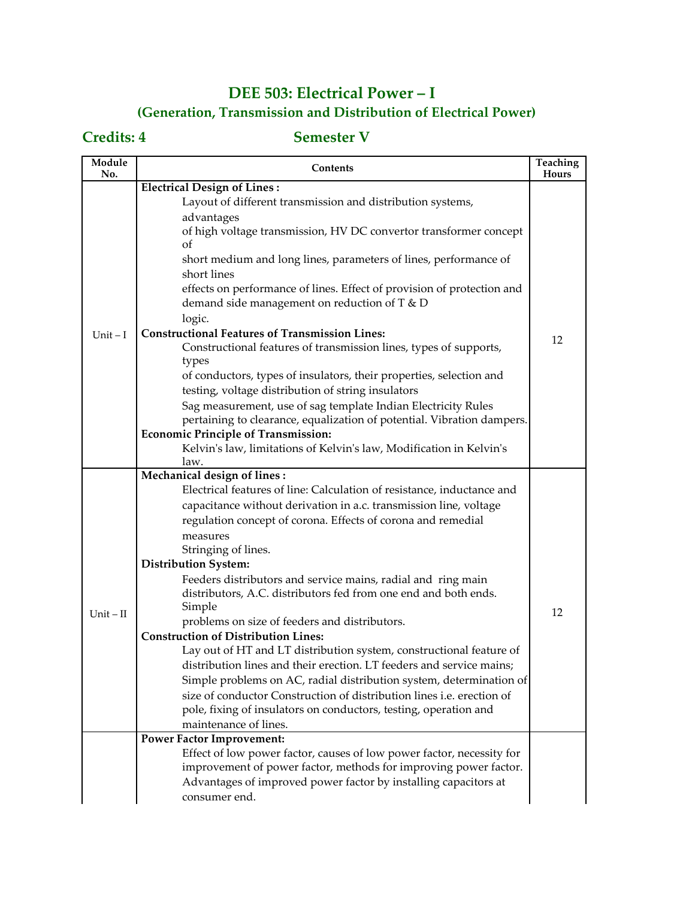## **DEE 503: Electrical Power – I (Generation, Transmission and Distribution of Electrical Power)**

| Module<br>No. | <b>Contents</b>                                                              | Teaching<br>Hours |
|---------------|------------------------------------------------------------------------------|-------------------|
|               | <b>Electrical Design of Lines:</b>                                           |                   |
|               | Layout of different transmission and distribution systems,                   |                   |
|               | advantages                                                                   |                   |
|               | of high voltage transmission, HV DC convertor transformer concept            |                   |
|               | οf                                                                           |                   |
|               | short medium and long lines, parameters of lines, performance of             |                   |
|               | short lines                                                                  |                   |
|               | effects on performance of lines. Effect of provision of protection and       |                   |
|               | demand side management on reduction of T & D                                 |                   |
|               | logic.                                                                       |                   |
| Unit $-I$     | <b>Constructional Features of Transmission Lines:</b>                        | 12                |
|               | Constructional features of transmission lines, types of supports,            |                   |
|               | types<br>of conductors, types of insulators, their properties, selection and |                   |
|               | testing, voltage distribution of string insulators                           |                   |
|               | Sag measurement, use of sag template Indian Electricity Rules                |                   |
|               | pertaining to clearance, equalization of potential. Vibration dampers.       |                   |
|               | <b>Economic Principle of Transmission:</b>                                   |                   |
|               | Kelvin's law, limitations of Kelvin's law, Modification in Kelvin's          |                   |
|               | law.                                                                         |                   |
|               | Mechanical design of lines:                                                  |                   |
|               | Electrical features of line: Calculation of resistance, inductance and       |                   |
|               | capacitance without derivation in a.c. transmission line, voltage            |                   |
|               | regulation concept of corona. Effects of corona and remedial                 |                   |
|               | measures                                                                     |                   |
|               | Stringing of lines.                                                          |                   |
|               | <b>Distribution System:</b>                                                  |                   |
|               | Feeders distributors and service mains, radial and ring main                 |                   |
|               | distributors, A.C. distributors fed from one end and both ends.              |                   |
| $Unit - II$   | Simple<br>problems on size of feeders and distributors.                      | 12                |
|               | <b>Construction of Distribution Lines:</b>                                   |                   |
|               | Lay out of HT and LT distribution system, constructional feature of          |                   |
|               | distribution lines and their erection. LT feeders and service mains;         |                   |
|               | Simple problems on AC, radial distribution system, determination of          |                   |
|               | size of conductor Construction of distribution lines i.e. erection of        |                   |
|               | pole, fixing of insulators on conductors, testing, operation and             |                   |
|               | maintenance of lines.                                                        |                   |
|               | <b>Power Factor Improvement:</b>                                             |                   |
|               | Effect of low power factor, causes of low power factor, necessity for        |                   |
|               | improvement of power factor, methods for improving power factor.             |                   |
|               | Advantages of improved power factor by installing capacitors at              |                   |
|               | consumer end.                                                                |                   |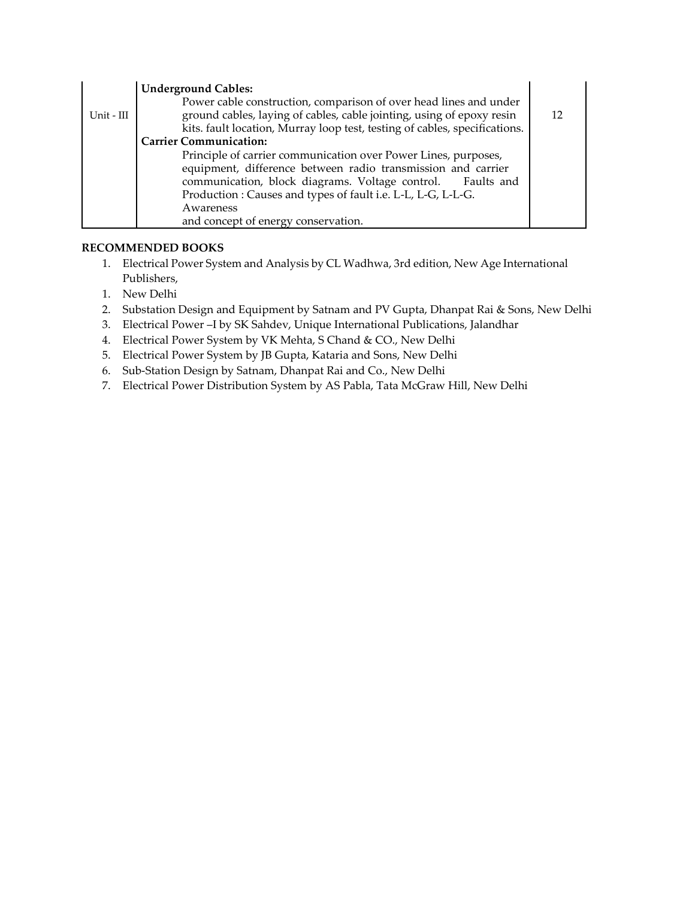|            | <b>Underground Cables:</b>                                                 |  |
|------------|----------------------------------------------------------------------------|--|
|            | Power cable construction, comparison of over head lines and under          |  |
| Unit - III | ground cables, laying of cables, cable jointing, using of epoxy resin      |  |
|            | kits. fault location, Murray loop test, testing of cables, specifications. |  |
|            | <b>Carrier Communication:</b>                                              |  |
|            | Principle of carrier communication over Power Lines, purposes,             |  |
|            | equipment, difference between radio transmission and carrier               |  |
|            | communication, block diagrams. Voltage control. Faults and                 |  |
|            | Production: Causes and types of fault i.e. L-L, L-G, L-L-G.                |  |
|            | Awareness                                                                  |  |
|            | and concept of energy conservation.                                        |  |

### **RECOMMENDED BOOKS**

- 1. Electrical Power System and Analysis by CL Wadhwa, 3rd edition, New Age International Publishers,
- 1. New Delhi
- 2. Substation Design and Equipment by Satnam and PV Gupta, Dhanpat Rai & Sons, New Delhi
- 3. Electrical Power –I by SK Sahdev, Unique International Publications, Jalandhar
- 4. Electrical Power System by VK Mehta, S Chand & CO., New Delhi
- 5. Electrical Power System by JB Gupta, Kataria and Sons, New Delhi
- 6. Sub-Station Design by Satnam, Dhanpat Rai and Co., New Delhi
- 7. Electrical Power Distribution System by AS Pabla, Tata McGraw Hill, New Delhi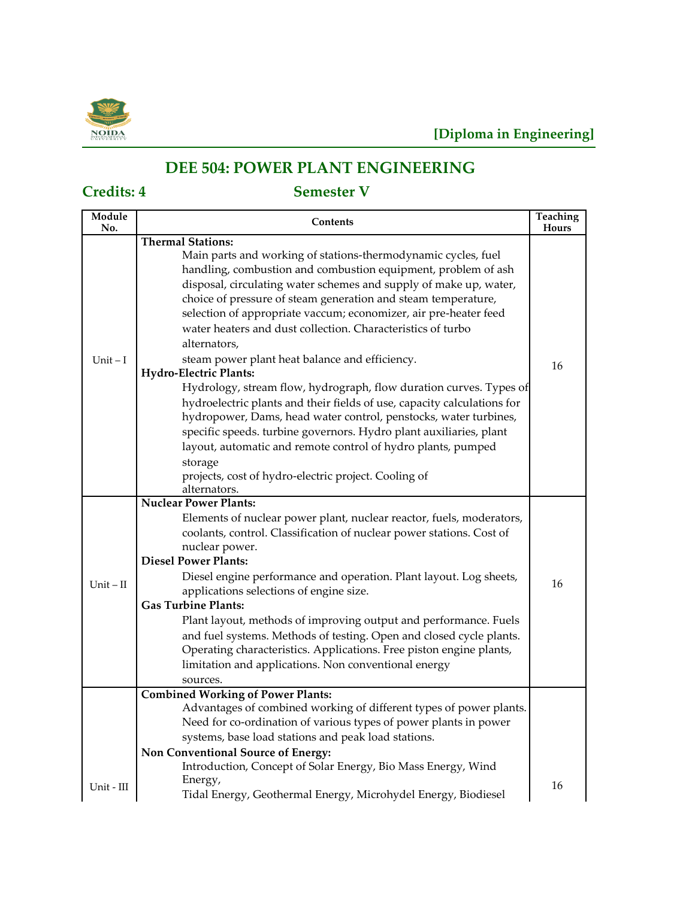

## **DEE 504: POWER PLANT ENGINEERING**

| Module<br>No. | <b>Contents</b>                                                                        | Teaching<br>Hours |
|---------------|----------------------------------------------------------------------------------------|-------------------|
|               | <b>Thermal Stations:</b>                                                               |                   |
|               | Main parts and working of stations-thermodynamic cycles, fuel                          |                   |
|               | handling, combustion and combustion equipment, problem of ash                          |                   |
|               | disposal, circulating water schemes and supply of make up, water,                      |                   |
|               | choice of pressure of steam generation and steam temperature,                          |                   |
|               | selection of appropriate vaccum; economizer, air pre-heater feed                       |                   |
|               | water heaters and dust collection. Characteristics of turbo                            |                   |
|               | alternators,                                                                           |                   |
| $Unit - I$    | steam power plant heat balance and efficiency.                                         | 16                |
|               | <b>Hydro-Electric Plants:</b>                                                          |                   |
|               | Hydrology, stream flow, hydrograph, flow duration curves. Types of                     |                   |
|               | hydroelectric plants and their fields of use, capacity calculations for                |                   |
|               | hydropower, Dams, head water control, penstocks, water turbines,                       |                   |
|               | specific speeds. turbine governors. Hydro plant auxiliaries, plant                     |                   |
|               | layout, automatic and remote control of hydro plants, pumped                           |                   |
|               | storage                                                                                |                   |
|               | projects, cost of hydro-electric project. Cooling of                                   |                   |
|               | alternators.<br><b>Nuclear Power Plants:</b>                                           |                   |
|               | Elements of nuclear power plant, nuclear reactor, fuels, moderators,                   |                   |
|               |                                                                                        |                   |
|               | coolants, control. Classification of nuclear power stations. Cost of<br>nuclear power. |                   |
|               | <b>Diesel Power Plants:</b>                                                            |                   |
|               | Diesel engine performance and operation. Plant layout. Log sheets,                     |                   |
| $Unit - II$   | applications selections of engine size.                                                | 16                |
|               | <b>Gas Turbine Plants:</b>                                                             |                   |
|               | Plant layout, methods of improving output and performance. Fuels                       |                   |
|               | and fuel systems. Methods of testing. Open and closed cycle plants.                    |                   |
|               | Operating characteristics. Applications. Free piston engine plants,                    |                   |
|               | limitation and applications. Non conventional energy                                   |                   |
|               | sources.                                                                               |                   |
|               | <b>Combined Working of Power Plants:</b>                                               |                   |
|               | Advantages of combined working of different types of power plants.                     |                   |
|               | Need for co-ordination of various types of power plants in power                       |                   |
|               | systems, base load stations and peak load stations.                                    |                   |
|               | Non Conventional Source of Energy:                                                     |                   |
|               | Introduction, Concept of Solar Energy, Bio Mass Energy, Wind                           |                   |
| Unit - III    | Energy,                                                                                | 16                |
|               | Tidal Energy, Geothermal Energy, Microhydel Energy, Biodiesel                          |                   |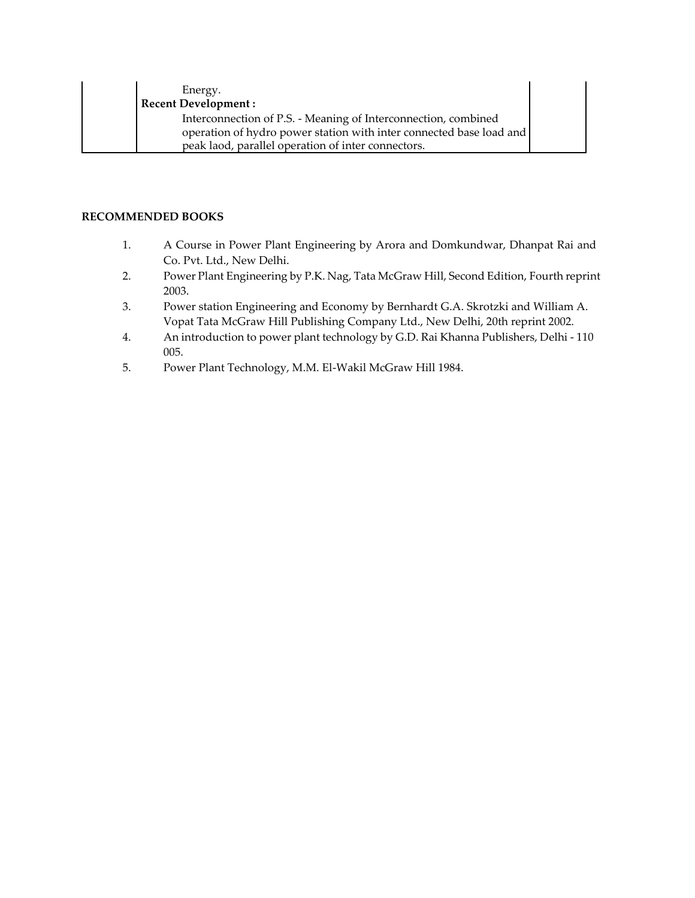| Energy.                                                             |  |
|---------------------------------------------------------------------|--|
| <b>Recent Development:</b>                                          |  |
| Interconnection of P.S. - Meaning of Interconnection, combined      |  |
| operation of hydro power station with inter connected base load and |  |
| peak laod, parallel operation of inter connectors.                  |  |

### **RECOMMENDED BOOKS**

- 1. A Course in Power Plant Engineering by Arora and Domkundwar, Dhanpat Rai and Co. Pvt. Ltd., New Delhi.
- 2. Power Plant Engineering by P.K. Nag, Tata McGraw Hill, Second Edition, Fourth reprint 2003.
- 3. Power station Engineering and Economy by Bernhardt G.A. Skrotzki and William A. Vopat Tata McGraw Hill Publishing Company Ltd., New Delhi, 20th reprint 2002.
- 4. An introduction to power plant technology by G.D. Rai Khanna Publishers, Delhi 110 005.
- 5. Power Plant Technology, M.M. El-Wakil McGraw Hill 1984.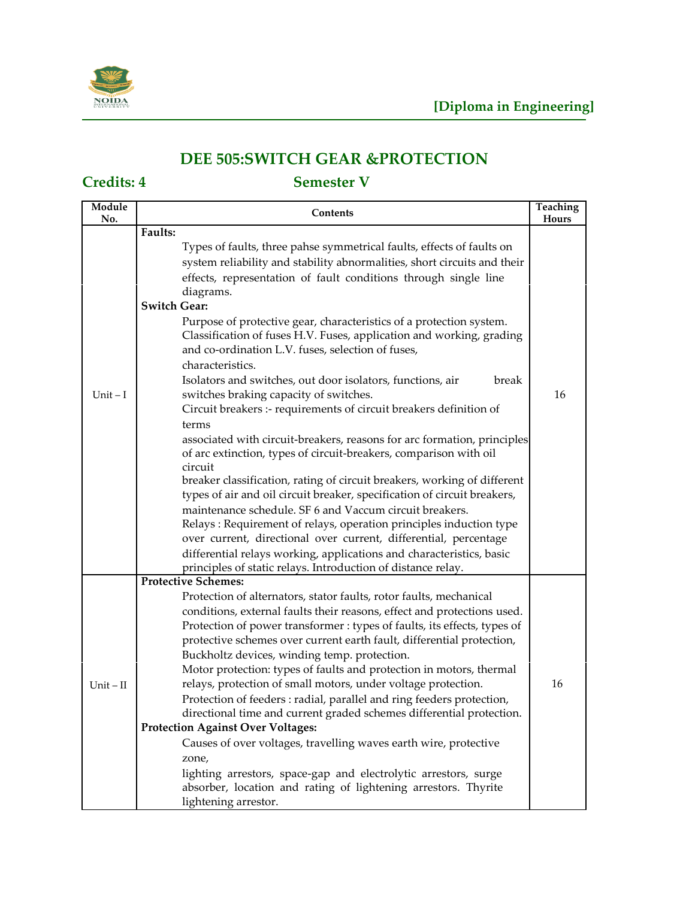

## **DEE 505:SWITCH GEAR &PROTECTION**

| Module<br>No. | Contents                                                                                                                                                                                                                                                                                                                                                                                                                                                                                                                                                                                                                                                                                                                                                                                                                                                                                                                                                                                                             | Teaching<br>Hours |
|---------------|----------------------------------------------------------------------------------------------------------------------------------------------------------------------------------------------------------------------------------------------------------------------------------------------------------------------------------------------------------------------------------------------------------------------------------------------------------------------------------------------------------------------------------------------------------------------------------------------------------------------------------------------------------------------------------------------------------------------------------------------------------------------------------------------------------------------------------------------------------------------------------------------------------------------------------------------------------------------------------------------------------------------|-------------------|
|               | Faults:                                                                                                                                                                                                                                                                                                                                                                                                                                                                                                                                                                                                                                                                                                                                                                                                                                                                                                                                                                                                              |                   |
|               | Types of faults, three pahse symmetrical faults, effects of faults on<br>system reliability and stability abnormalities, short circuits and their<br>effects, representation of fault conditions through single line<br>diagrams.<br><b>Switch Gear:</b>                                                                                                                                                                                                                                                                                                                                                                                                                                                                                                                                                                                                                                                                                                                                                             |                   |
| $Unit - I$    | Purpose of protective gear, characteristics of a protection system.<br>Classification of fuses H.V. Fuses, application and working, grading<br>and co-ordination L.V. fuses, selection of fuses,<br>characteristics.<br>Isolators and switches, out door isolators, functions, air<br>break<br>switches braking capacity of switches.<br>Circuit breakers :- requirements of circuit breakers definition of<br>terms<br>associated with circuit-breakers, reasons for arc formation, principles<br>of arc extinction, types of circuit-breakers, comparison with oil<br>circuit<br>breaker classification, rating of circuit breakers, working of different<br>types of air and oil circuit breaker, specification of circuit breakers,<br>maintenance schedule. SF 6 and Vaccum circuit breakers.<br>Relays: Requirement of relays, operation principles induction type<br>over current, directional over current, differential, percentage<br>differential relays working, applications and characteristics, basic | 16                |
|               | principles of static relays. Introduction of distance relay.<br><b>Protective Schemes:</b>                                                                                                                                                                                                                                                                                                                                                                                                                                                                                                                                                                                                                                                                                                                                                                                                                                                                                                                           |                   |
| $Unit - II$   | Protection of alternators, stator faults, rotor faults, mechanical<br>conditions, external faults their reasons, effect and protections used.<br>Protection of power transformer : types of faults, its effects, types of<br>protective schemes over current earth fault, differential protection,<br>Buckholtz devices, winding temp. protection.<br>Motor protection: types of faults and protection in motors, thermal<br>relays, protection of small motors, under voltage protection.<br>Protection of feeders : radial, parallel and ring feeders protection,<br>directional time and current graded schemes differential protection.<br><b>Protection Against Over Voltages:</b><br>Causes of over voltages, travelling waves earth wire, protective<br>zone,<br>lighting arrestors, space-gap and electrolytic arrestors, surge<br>absorber, location and rating of lightening arrestors. Thyrite<br>lightening arrestor.                                                                                    | 16                |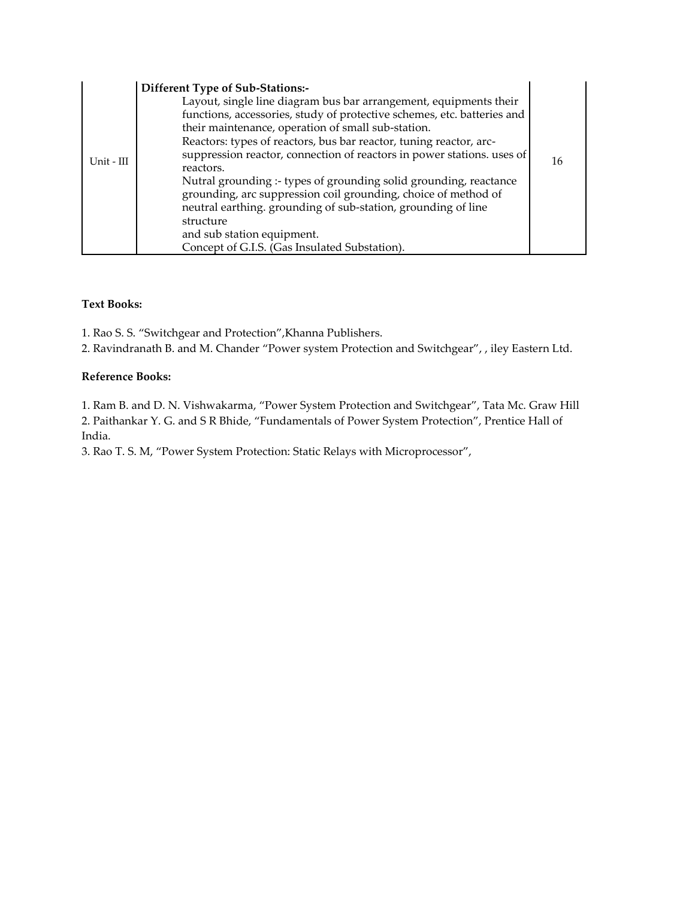|            | Different Type of Sub-Stations:-                                                                                              |    |
|------------|-------------------------------------------------------------------------------------------------------------------------------|----|
|            | Layout, single line diagram bus bar arrangement, equipments their                                                             |    |
|            | functions, accessories, study of protective schemes, etc. batteries and<br>their maintenance, operation of small sub-station. |    |
|            | Reactors: types of reactors, bus bar reactor, tuning reactor, arc-                                                            |    |
| Unit - III | suppression reactor, connection of reactors in power stations, uses of                                                        | 16 |
|            | reactors.                                                                                                                     |    |
|            | Nutral grounding :- types of grounding solid grounding, reactance                                                             |    |
|            | grounding, arc suppression coil grounding, choice of method of                                                                |    |
|            | neutral earthing. grounding of sub-station, grounding of line                                                                 |    |
|            | structure                                                                                                                     |    |
|            | and sub station equipment.                                                                                                    |    |
|            | Concept of G.I.S. (Gas Insulated Substation).                                                                                 |    |

### **Text Books:**

1. Rao S. S. "Switchgear and Protection",Khanna Publishers.

2. Ravindranath B. and M. Chander "Power system Protection and Switchgear", , iley Eastern Ltd.

### **Reference Books:**

1. Ram B. and D. N. Vishwakarma, "Power System Protection and Switchgear", Tata Mc. Graw Hill 2. Paithankar Y. G. and S R Bhide, "Fundamentals of Power System Protection", Prentice Hall of India.

3. Rao T. S. M, "Power System Protection: Static Relays with Microprocessor",